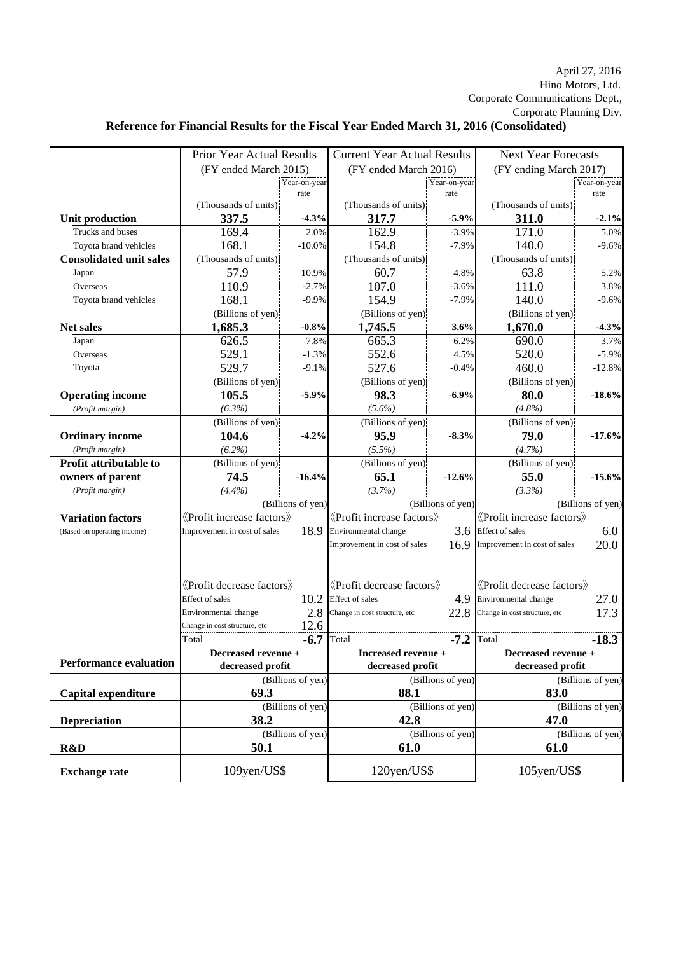## Hino Motors, Ltd. April 27, 2016 Corporate Communications Dept., Corporate Planning Div.

## **Reference for Financial Results for the Fiscal Year Ended March 31, 2016 (Consolidated)**

|                                | <b>Prior Year Actual Results</b>                            |                   | <b>Current Year Actual Results</b>                |              | <b>Next Year Forecasts</b>                                                  |              |
|--------------------------------|-------------------------------------------------------------|-------------------|---------------------------------------------------|--------------|-----------------------------------------------------------------------------|--------------|
|                                | (FY ended March 2015)                                       |                   | (FY ended March 2016)                             |              | (FY ending March 2017)                                                      |              |
|                                |                                                             | Year-on-year      |                                                   | Year-on-year |                                                                             | Year-on-year |
|                                |                                                             | rate              |                                                   | rate         |                                                                             | rate         |
|                                | (Thousands of units)                                        |                   | (Thousands of units)                              |              | (Thousands of units)                                                        |              |
| <b>Unit production</b>         | 337.5                                                       | $-4.3%$           | 317.7                                             | $-5.9%$      | 311.0                                                                       | $-2.1%$      |
| Trucks and buses               | 169.4                                                       | 2.0%              | 162.9                                             | $-3.9%$      | 171.0                                                                       | 5.0%         |
| Toyota brand vehicles          | 168.1                                                       | $-10.0\%$         | 154.8                                             | $-7.9%$      | 140.0                                                                       | $-9.6%$      |
| <b>Consolidated unit sales</b> | (Thousands of units)                                        |                   | (Thousands of units)                              |              | (Thousands of units)                                                        |              |
| Japan                          | 57.9                                                        | 10.9%             | 60.7                                              | 4.8%         | 63.8                                                                        | 5.2%         |
| Overseas                       | 110.9                                                       | $-2.7%$           | 107.0                                             | $-3.6%$      | 111.0                                                                       | 3.8%         |
| Toyota brand vehicles          | 168.1                                                       | $-9.9%$           | 154.9                                             | $-7.9%$      | 140.0                                                                       | $-9.6%$      |
|                                | (Billions of yen)                                           |                   | (Billions of yen)                                 |              | (Billions of yen)                                                           |              |
| <b>Net sales</b>               | 1,685.3                                                     | $-0.8\%$          | 1,745.5                                           | 3.6%         | 1,670.0                                                                     | $-4.3%$      |
| Japan                          | 626.5                                                       | 7.8%              | 665.3                                             | 6.2%         | 690.0                                                                       | 3.7%         |
| Overseas                       | 529.1                                                       | $-1.3%$           | 552.6                                             | 4.5%         | 520.0                                                                       | $-5.9%$      |
| Toyota                         | 529.7                                                       | $-9.1%$           | 527.6                                             | $-0.4%$      | 460.0                                                                       | $-12.8%$     |
|                                | (Billions of yen)                                           |                   | (Billions of yen)                                 |              | (Billions of yen)                                                           |              |
| <b>Operating income</b>        | 105.5                                                       | $-5.9%$           | 98.3                                              | $-6.9%$      | 80.0                                                                        | $-18.6%$     |
| (Profit margin)                | $(6.3\%)$                                                   |                   | $(5.6\%)$                                         |              | (4.8%)                                                                      |              |
|                                | (Billions of yen)                                           |                   | (Billions of yen)                                 |              | (Billions of yen)                                                           |              |
| <b>Ordinary income</b>         | 104.6                                                       | $-4.2%$           | 95.9                                              | $-8.3%$      | 79.0                                                                        | $-17.6%$     |
| (Profit margin)                | $(6.2\%)$                                                   |                   | $(5.5\%)$                                         |              | (4.7%)                                                                      |              |
| Profit attributable to         | (Billions of yen)                                           |                   | (Billions of yen)                                 |              | (Billions of yen)                                                           |              |
| owners of parent               | 74.5                                                        | $-16.4%$          | 65.1                                              | $-12.6%$     | 55.0                                                                        | $-15.6%$     |
| (Profit margin)                | (4.4%)                                                      |                   | (3.7%)                                            |              | (3.3%)                                                                      |              |
|                                | (Billions of yen)                                           |                   | (Billions of yen)                                 |              | (Billions of yen)                                                           |              |
| <b>Variation factors</b>       | $\langle$ Profit increase factors $\rangle$                 |                   | «Profit increase factors»<br>Environmental change |              | «Profit increase factors                                                    |              |
| (Based on operating income)    | Improvement in cost of sales                                | 18.9              |                                                   |              | 3.6 Effect of sales<br>6.0                                                  |              |
|                                |                                                             |                   | Improvement in cost of sales                      | 16.9         | Improvement in cost of sales                                                | 20.0         |
|                                |                                                             |                   |                                                   |              |                                                                             |              |
|                                | <b><i><u></u></i></b> <i><u>Profit</u></i> decrease factors |                   | $\langle$ Profit decrease factors $\rangle$       |              | <b><i><u></u></i></b> <i><u>Profit</u></i> decrease factors <b><i>x</i></b> |              |
|                                | Effect of sales                                             | 10.2              | <b>Effect</b> of sales                            |              | 4.9 Environmental change                                                    | 27.0         |
|                                | Environmental change                                        | 2.8               | Change in cost structure, etc                     | 22.8         | Change in cost structure, etc                                               | 17.3         |
|                                | Change in cost structure, etc                               | 12.6              |                                                   |              |                                                                             |              |
|                                | Total                                                       | $-6.7$            | Total                                             | $-7.2$       | Total                                                                       | $-18.3$      |
|                                | Decreased revenue +                                         |                   | Increased revenue +                               |              | Decreased revenue +                                                         |              |
| <b>Performance evaluation</b>  | decreased profit                                            |                   | decreased profit                                  |              | decreased profit                                                            |              |
|                                | (Billions of yen)                                           |                   | (Billions of yen)                                 |              | (Billions of yen)                                                           |              |
| Capital expenditure            | 69.3                                                        |                   | 88.1                                              |              | 83.0                                                                        |              |
|                                | (Billions of yen)                                           |                   | (Billions of yen)                                 |              | (Billions of yen)                                                           |              |
| Depreciation                   | 38.2                                                        |                   | 42.8                                              |              | 47.0                                                                        |              |
|                                |                                                             | (Billions of yen) | (Billions of yen)                                 |              | (Billions of yen)                                                           |              |
| R&D                            | 50.1                                                        |                   | 61.0                                              |              | 61.0                                                                        |              |
| <b>Exchange rate</b>           | 109yen/US\$                                                 |                   | 120yen/US\$                                       |              | 105yen/US\$                                                                 |              |
|                                |                                                             |                   |                                                   |              |                                                                             |              |